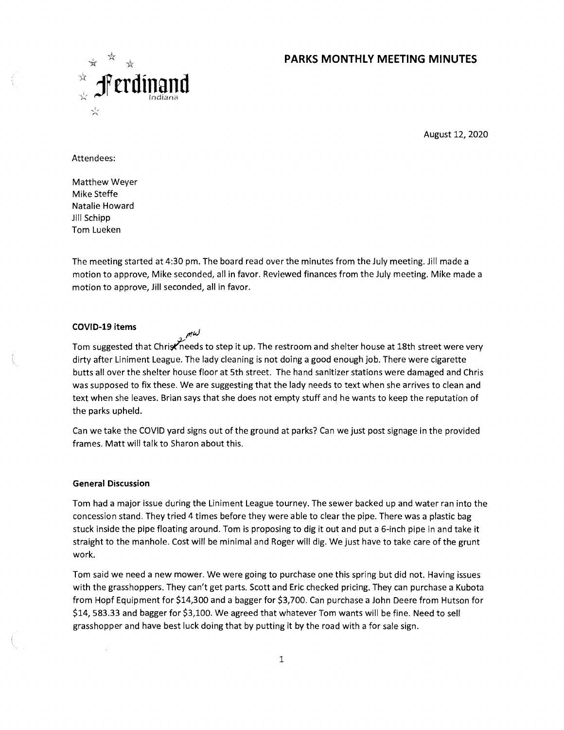# **PARKS MONTHLY MEETING MINUTES**



August 12, 2020

Attendees:

Matthew Weyer Mike Steffe Natalie Howard Jill Schipp Tom Lueken

The meeting started at 4:30 pm. The board read over the minutes from the July meeting. Jill made a motion to approve, Mike seconded, all in favor. Reviewed finances from the July meeting. Mike made a motion to approve, Jill seconded, all in favor.

## **COVID-19 items**

 $m\omega$ 

Tom suggested that Christineeds to step it up. The restroom and shelter house at 18th street were very dirty after Liniment League. The lady cleaning is not doing a good enough job. There were cigarette butts all over the shelter house floor at 5th street. The hand sanitizer stations were damaged and Chris was supposed to fix these. We are suggesting that the lady needs to text when she arrives to clean and text when she leaves. Brian says that she does not empty stuff and he wants to keep the reputation of the parks upheld.

Can we take the COVID yard signs out of the ground at parks? Can we just post signage in the provided frames. Matt will talk to Sharon about this.

## **General Discussion**

Tom had a major issue during the Liniment League tourney. The sewer backed up and water ran into the concession stand. They tried 4 times before they were able to clear the pipe. There was a plastic bag stuck inside the pipe floating around. Tom is proposing to dig it out and put a 6-inch pipe in and take it straight to the manhole. Cost will be minimal and Roger will dig. We just have to take care of the grunt work.

Tom said we need a new mower. We were going to purchase one this spring but did not. Having issues with the grasshoppers. They can't get parts. Scott and Eric checked pricing. They can purchase a Kubota from Hopf Equipment for \$14,300 and a bagger for \$3,700. Can purchase a John Deere from Hutson for \$14, 583.33 and bagger for \$3,100. We agreed that whatever Tom wants will be fine. Need to sell grasshopper and have best luck doing that by putting it by the road with a for sale sign.